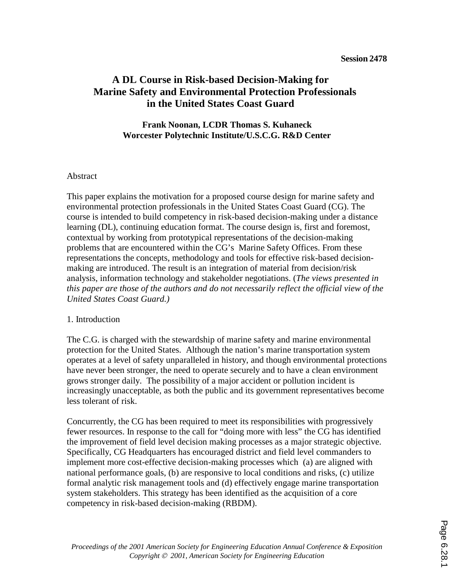# **A DL Course in Risk-based Decision-Making for Marine Safety and Environmental Protection Professionals in the United States Coast Guard**

### **Frank Noonan, LCDR Thomas S. Kuhaneck Worcester Polytechnic Institute/U.S.C.G. R&D Center**

#### Abstract

This paper explains the motivation for a proposed course design for marine safety and environmental protection professionals in the United States Coast Guard (CG). The course is intended to build competency in risk-based decision-making under a distance learning (DL), continuing education format. The course design is, first and foremost, contextual by working from prototypical representations of the decision-making problems that are encountered within the CG's Marine Safety Offices. From these representations the concepts, methodology and tools for effective risk-based decisionmaking are introduced. The result is an integration of material from decision/risk analysis, information technology and stakeholder negotiations. (*The views presented in this paper are those of the authors and do not necessarily reflect the official view of the United States Coast Guard.)*

#### 1. Introduction

The C.G. is charged with the stewardship of marine safety and marine environmental protection for the United States. Although the nation's marine transportation system operates at a level of safety unparalleled in history, and though environmental protections have never been stronger, the need to operate securely and to have a clean environment grows stronger daily. The possibility of a major accident or pollution incident is increasingly unacceptable, as both the public and its government representatives become less tolerant of risk.

Concurrently, the CG has been required to meet its responsibilities with progressively fewer resources. In response to the call for "doing more with less" the CG has identified the improvement of field level decision making processes as a major strategic objective. Specifically, CG Headquarters has encouraged district and field level commanders to implement more cost-effective decision-making processes which (a) are aligned with national performance goals, (b) are responsive to local conditions and risks, (c) utilize formal analytic risk management tools and (d) effectively engage marine transportation system stakeholders. This strategy has been identified as the acquisition of a core competency in risk-based decision-making (RBDM).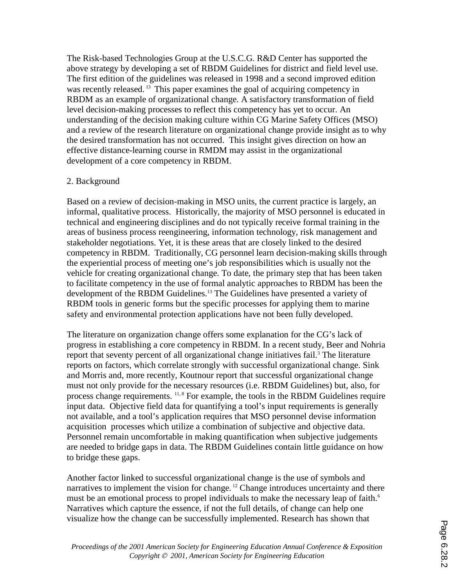The Risk-based Technologies Group at the U.S.C.G. R&D Center has supported the above strategy by developing a set of RBDM Guidelines for district and field level use. The first edition of the guidelines was released in 1998 and a second improved edition was recently released.<sup>13</sup> This paper examines the goal of acquiring competency in RBDM as an example of organizational change. A satisfactory transformation of field level decision-making processes to reflect this competency has yet to occur. An understanding of the decision making culture within CG Marine Safety Offices (MSO) and a review of the research literature on organizational change provide insight as to why the desired transformation has not occurred. This insight gives direction on how an effective distance-learning course in RMDM may assist in the organizational development of a core competency in RBDM.

#### 2. Background

Based on a review of decision-making in MSO units, the current practice is largely, an informal, qualitative process. Historically, the majority of MSO personnel is educated in technical and engineering disciplines and do not typically receive formal training in the areas of business process reengineering, information technology, risk management and stakeholder negotiations. Yet, it is these areas that are closely linked to the desired competency in RBDM. Traditionally, CG personnel learn decision-making skills through the experiential process of meeting one's job responsibilities which is usually not the vehicle for creating organizational change. To date, the primary step that has been taken to facilitate competency in the use of formal analytic approaches to RBDM has been the development of the RBDM Guidelines.<sup>13</sup> The Guidelines have presented a variety of RBDM tools in generic forms but the specific processes for applying them to marine safety and environmental protection applications have not been fully developed.

The literature on organization change offers some explanation for the CG's lack of progress in establishing a core competency in RBDM. In a recent study, Beer and Nohria report that seventy percent of all organizational change initiatives fail.<sup>3</sup> The literature reports on factors, which correlate strongly with successful organizational change. Sink and Morris and, more recently, Koutnour report that successful organizational change must not only provide for the necessary resources (i.e. RBDM Guidelines) but, also, for process change requirements.  $^{11, 8}$  For example, the tools in the RBDM Guidelines require input data. Objective field data for quantifying a tool's input requirements is generally not available, and a tool's application requires that MSO personnel devise information acquisition processes which utilize a combination of subjective and objective data. Personnel remain uncomfortable in making quantification when subjective judgements are needed to bridge gaps in data. The RBDM Guidelines contain little guidance on how to bridge these gaps.

Another factor linked to successful organizational change is the use of symbols and narratives to implement the vision for change.<sup>12</sup> Change introduces uncertainty and there must be an emotional process to propel individuals to make the necessary leap of faith.<sup>6</sup> Narratives which capture the essence, if not the full details, of change can help one visualize how the change can be successfully implemented. Research has shown that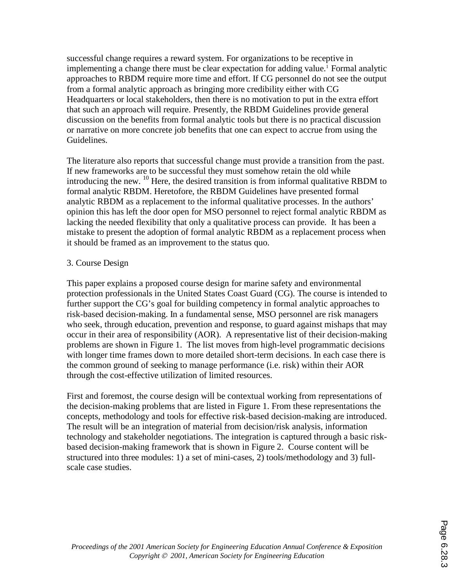successful change requires a reward system. For organizations to be receptive in implementing a change there must be clear expectation for adding value.<sup>1</sup> Formal analytic approaches to RBDM require more time and effort. If CG personnel do not see the output from a formal analytic approach as bringing more credibility either with CG Headquarters or local stakeholders, then there is no motivation to put in the extra effort that such an approach will require. Presently, the RBDM Guidelines provide general discussion on the benefits from formal analytic tools but there is no practical discussion or narrative on more concrete job benefits that one can expect to accrue from using the Guidelines.

The literature also reports that successful change must provide a transition from the past. If new frameworks are to be successful they must somehow retain the old while introducing the new.  $^{10}$  Here, the desired transition is from informal qualitative RBDM to formal analytic RBDM. Heretofore, the RBDM Guidelines have presented formal analytic RBDM as a replacement to the informal qualitative processes. In the authors' opinion this has left the door open for MSO personnel to reject formal analytic RBDM as lacking the needed flexibility that only a qualitative process can provide. It has been a mistake to present the adoption of formal analytic RBDM as a replacement process when it should be framed as an improvement to the status quo.

### 3. Course Design

This paper explains a proposed course design for marine safety and environmental protection professionals in the United States Coast Guard (CG). The course is intended to further support the CG's goal for building competency in formal analytic approaches to risk-based decision-making. In a fundamental sense, MSO personnel are risk managers who seek, through education, prevention and response, to guard against mishaps that may occur in their area of responsibility (AOR). A representative list of their decision-making problems are shown in Figure 1. The list moves from high-level programmatic decisions with longer time frames down to more detailed short-term decisions. In each case there is the common ground of seeking to manage performance (i.e. risk) within their AOR through the cost-effective utilization of limited resources.

First and foremost, the course design will be contextual working from representations of the decision-making problems that are listed in Figure 1. From these representations the concepts, methodology and tools for effective risk-based decision-making are introduced. The result will be an integration of material from decision/risk analysis, information technology and stakeholder negotiations. The integration is captured through a basic riskbased decision-making framework that is shown in Figure 2. Course content will be structured into three modules: 1) a set of mini-cases, 2) tools/methodology and 3) fullscale case studies.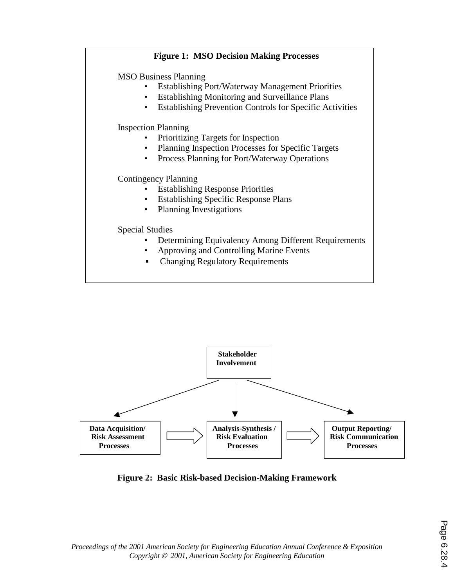## **Figure 1: MSO Decision Making Processes**

MSO Business Planning

- Establishing Port/Waterway Management Priorities
- Establishing Monitoring and Surveillance Plans
- Establishing Prevention Controls for Specific Activities

Inspection Planning

- Prioritizing Targets for Inspection
- Planning Inspection Processes for Specific Targets
- Process Planning for Port/Waterway Operations

#### Contingency Planning

- Establishing Response Priorities
- Establishing Specific Response Plans
- Planning Investigations

#### Special Studies

- Determining Equivalency Among Different Requirements
- Approving and Controlling Marine Events
- Changing Regulatory Requirements



**Figure 2: Basic Risk-based Decision-Making Framework** 

*Proceedings of the 2001 American Society for Engineering Education Annual Conference & Exposition Copyright 2001, American Society for Engineering Education*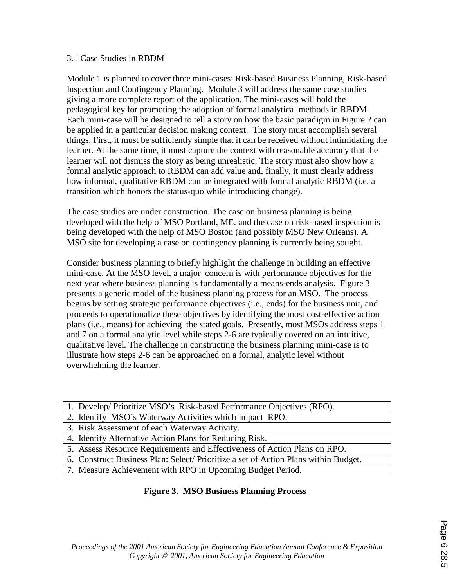#### 3.1 Case Studies in RBDM

Module 1 is planned to cover three mini-cases: Risk-based Business Planning, Risk-based Inspection and Contingency Planning. Module 3 will address the same case studies giving a more complete report of the application. The mini-cases will hold the pedagogical key for promoting the adoption of formal analytical methods in RBDM. Each mini-case will be designed to tell a story on how the basic paradigm in Figure 2 can be applied in a particular decision making context. The story must accomplish several things. First, it must be sufficiently simple that it can be received without intimidating the learner. At the same time, it must capture the context with reasonable accuracy that the learner will not dismiss the story as being unrealistic. The story must also show how a formal analytic approach to RBDM can add value and, finally, it must clearly address how informal, qualitative RBDM can be integrated with formal analytic RBDM (i.e. a transition which honors the status-quo while introducing change).

The case studies are under construction. The case on business planning is being developed with the help of MSO Portland, ME. and the case on risk-based inspection is being developed with the help of MSO Boston (and possibly MSO New Orleans). A MSO site for developing a case on contingency planning is currently being sought.

Consider business planning to briefly highlight the challenge in building an effective mini-case. At the MSO level, a major concern is with performance objectives for the next year where business planning is fundamentally a means-ends analysis. Figure 3 presents a generic model of the business planning process for an MSO. The process begins by setting strategic performance objectives (i.e., ends) for the business unit, and proceeds to operationalize these objectives by identifying the most cost-effective action plans (i.e., means) for achieving the stated goals. Presently, most MSOs address steps 1 and 7 on a formal analytic level while steps 2-6 are typically covered on an intuitive, qualitative level. The challenge in constructing the business planning mini-case is to illustrate how steps 2-6 can be approached on a formal, analytic level without overwhelming the learner.

- 1. Develop/ Prioritize MSO's Risk-based Performance Objectives (RPO).
- 2. Identify MSO's Waterway Activities which Impact RPO.
- 3. Risk Assessment of each Waterway Activity.
- 4. Identify Alternative Action Plans for Reducing Risk.
- 5. Assess Resource Requirements and Effectiveness of Action Plans on RPO.
- 6. Construct Business Plan: Select/ Prioritize a set of Action Plans within Budget.
- 7. Measure Achievement with RPO in Upcoming Budget Period.

### **Figure 3. MSO Business Planning Process**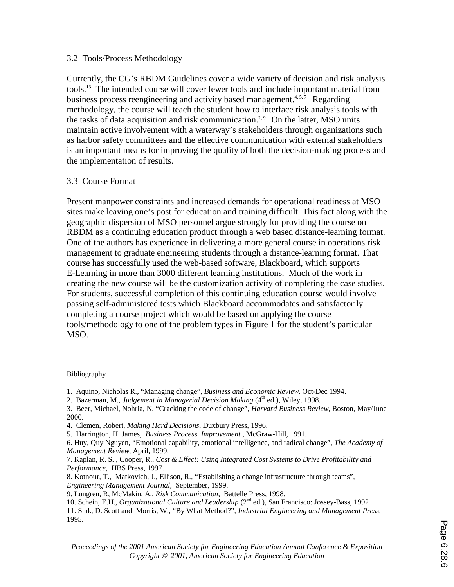#### 3.2 Tools/Process Methodology

Currently, the CG's RBDM Guidelines cover a wide variety of decision and risk analysis tools.13 The intended course will cover fewer tools and include important material from business process reengineering and activity based management.<sup>4, 5,7</sup> Regarding methodology, the course will teach the student how to interface risk analysis tools with the tasks of data acquisition and risk communication.<sup>2,9</sup> On the latter, MSO units maintain active involvement with a waterway's stakeholders through organizations such as harbor safety committees and the effective communication with external stakeholders is an important means for improving the quality of both the decision-making process and the implementation of results.

#### 3.3 Course Format

Present manpower constraints and increased demands for operational readiness at MSO sites make leaving one's post for education and training difficult. This fact along with the geographic dispersion of MSO personnel argue strongly for providing the course on RBDM as a continuing education product through a web based distance-learning format. One of the authors has experience in delivering a more general course in operations risk management to graduate engineering students through a distance-learning format. That course has successfully used the web-based software, Blackboard, which supports E-Learning in more than 3000 different learning institutions. Much of the work in creating the new course will be the customization activity of completing the case studies. For students, successful completion of this continuing education course would involve passing self-administered tests which Blackboard accommodates and satisfactorily completing a course project which would be based on applying the course tools/methodology to one of the problem types in Figure 1 for the student's particular MSO.

#### Bibliography

- 1. Aquino, Nicholas R., "Managing change", *Business and Economic Review*, Oct-Dec 1994.
- 2. Bazerman, M., *Judgement in Managerial Decision Making* (4<sup>th</sup> ed.), Wiley, 1998.

3. Beer, Michael, Nohria, N. "Cracking the code of change", *Harvard Business Review*, Boston, May/June 2000.

- 4. Clemen, Robert*, Making Hard Decisions*, Duxbury Press, 1996.
- 5. Harrington, H. James, *Business Process Improvement* , McGraw-Hill, 1991.
- 6. Huy, Quy Nguyen, "Emotional capability, emotional intelligence, and radical change", *The Academy of Management Review*, April, 1999.

7. Kaplan, R. S. , Cooper, R., *Cost & Effect: Using Integrated Cost Systems to Drive Profitability and Performance,* HBS Press, 1997.

- 8. Kotnour, T., Matkovich, J., Ellison, R., "Establishing a change infrastructure through teams", *Engineering Management Journal*, September, 1999.
- 9. Lungren, R, McMakin, A., *Risk Communication*, Battelle Press, 1998.

<sup>10.</sup> Schein, E.H., *Organizational Culture and Leadership* (2nd ed.), San Francisco: Jossey-Bass, 1992

<sup>11.</sup> Sink, D. Scott and Morris, W., "By What Method?", *Industrial Engineering and Management Press*, 1995.